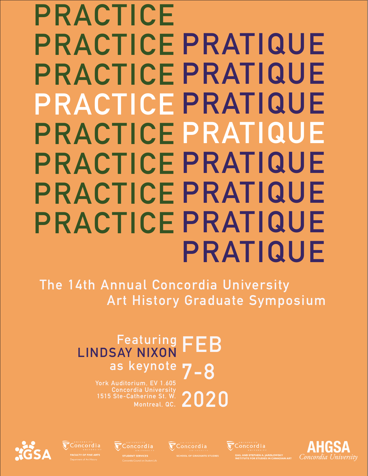# **PRATIQUE PRACTICE PRATIQUE PRACTICE PRATIQUE PRACTICE PRATIQUE PRACTICE PRATIQUE PRACTICE PRATIQUE PRACTICE PRATIQUE PRACTICE PRATIQUE PRACTICE**

**The 14th Annual Concordia University Art History Graduate Symposium**

## **Featuring FEB 7-8 as keynoteLINDSAY NIXON**

**York Auditorium, EV 1.605 Concordia University Montreal, QC.**





Concordia

Concordia

**2020**

Concordia AIL AND STEPHEN A. JARISLOWSKY<br>STITUTE FOR STUDIES IN CANADIAN ART